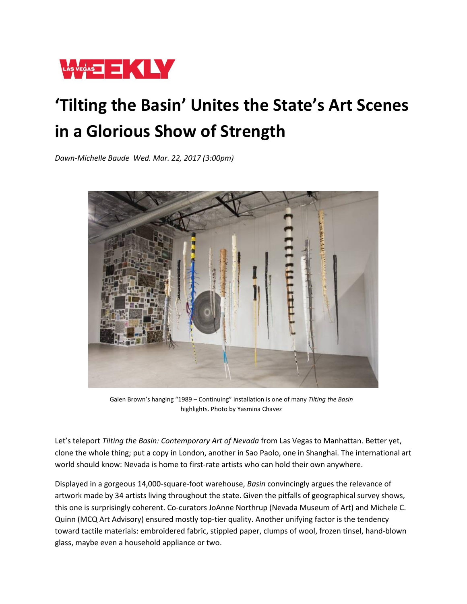

## **'Tilting the Basin' Unites the State's Art Scenes in a Glorious Show of Strength**

*Dawn-Michelle Baude Wed. Mar. 22, 2017 (3:00pm)*



Galen Brown's hanging "1989 – Continuing" installation is one of many *Tilting the Basin*  highlights. Photo by Yasmina Chavez

Let's teleport *Tilting the Basin: Contemporary Art of Nevada* from Las Vegas to Manhattan. Better yet, clone the whole thing; put a copy in London, another in Sao Paolo, one in Shanghai. The international art world should know: Nevada is home to first-rate artists who can hold their own anywhere.

Displayed in a gorgeous 14,000-square-foot warehouse, *Basin* convincingly argues the relevance of artwork made by 34 artists living throughout the state. Given the pitfalls of geographical survey shows, this one is surprisingly coherent. Co-curators JoAnne Northrup (Nevada Museum of Art) and Michele C. Quinn (MCQ Art Advisory) ensured mostly top-tier quality. Another unifying factor is the tendency toward tactile materials: embroidered fabric, stippled paper, clumps of wool, frozen tinsel, hand-blown glass, maybe even a household appliance or two.